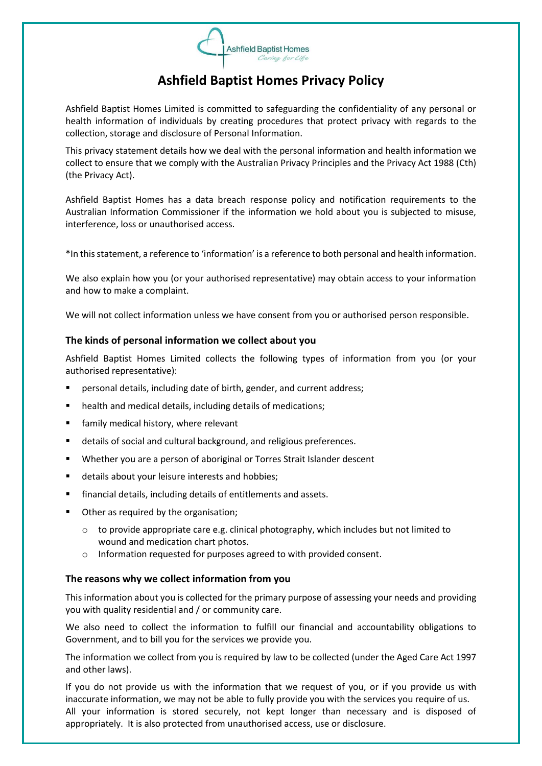

# **Ashfield Baptist Homes Privacy Policy**

Ashfield Baptist Homes Limited is committed to safeguarding the confidentiality of any personal or health information of individuals by creating procedures that protect privacy with regards to the collection, storage and disclosure of Personal Information.

This privacy statement details how we deal with the personal information and health information we collect to ensure that we comply with the Australian Privacy Principles and the Privacy Act 1988 (Cth) (the Privacy Act).

Ashfield Baptist Homes has a data breach response policy and notification requirements to the Australian Information Commissioner if the information we hold about you is subjected to misuse, interference, loss or unauthorised access.

\*In this statement, a reference to 'information' is a reference to both personal and health information.

We also explain how you (or your authorised representative) may obtain access to your information and how to make a complaint.

We will not collect information unless we have consent from you or authorised person responsible.

# **The kinds of personal information we collect about you**

Ashfield Baptist Homes Limited collects the following types of information from you (or your authorised representative):

- personal details, including date of birth, gender, and current address;
- health and medical details, including details of medications;
- family medical history, where relevant
- details of social and cultural background, and religious preferences.
- Whether you are a person of aboriginal or Torres Strait Islander descent
- details about your leisure interests and hobbies;
- financial details, including details of entitlements and assets.
- Other as required by the organisation;
	- $\circ$  to provide appropriate care e.g. clinical photography, which includes but not limited to wound and medication chart photos.
	- o Information requested for purposes agreed to with provided consent.

### **The reasons why we collect information from you**

This information about you is collected for the primary purpose of assessing your needs and providing you with quality residential and / or community care.

We also need to collect the information to fulfill our financial and accountability obligations to Government, and to bill you for the services we provide you.

The information we collect from you is required by law to be collected (under the Aged Care Act 1997 and other laws).

If you do not provide us with the information that we request of you, or if you provide us with inaccurate information, we may not be able to fully provide you with the services you require of us. All your information is stored securely, not kept longer than necessary and is disposed of appropriately. It is also protected from unauthorised access, use or disclosure.